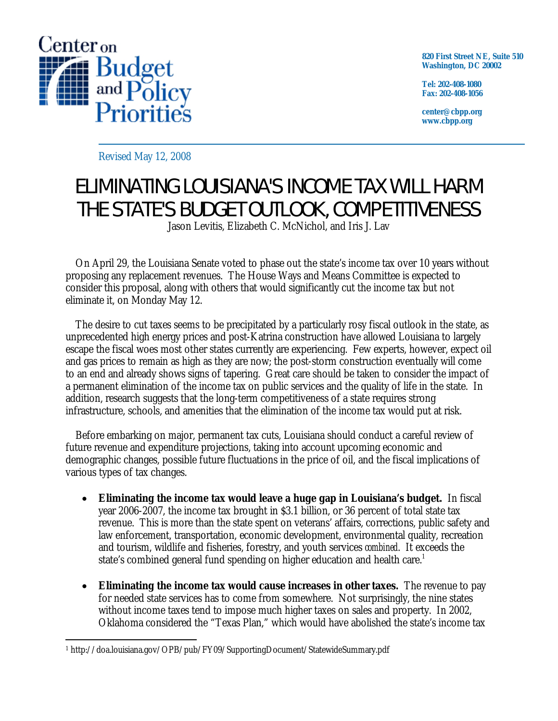

**820 First Street NE, Suite 510 Washington, DC 20002** 

**Tel: 202-408-1080 Fax: 202-408-1056** 

**center@cbpp.org www.cbpp.org** 

Revised May 12, 2008

## ELIMINATING LOUISIANA'S INCOME TAX WILL HARM THE STATE'S BUDGET OUTLOOK, COMPETITIVENESS

Jason Levitis, Elizabeth C. McNichol, and Iris J. Lav

On April 29, the Louisiana Senate voted to phase out the state's income tax over 10 years without proposing any replacement revenues. The House Ways and Means Committee is expected to consider this proposal, along with others that would significantly cut the income tax but not eliminate it, on Monday May 12.

 The desire to cut taxes seems to be precipitated by a particularly rosy fiscal outlook in the state, as unprecedented high energy prices and post-Katrina construction have allowed Louisiana to largely escape the fiscal woes most other states currently are experiencing.Few experts, however, expect oil and gas prices to remain as high as they are now; the post-storm construction eventually will come to an end and already shows signs of tapering. Great care should be taken to consider the impact of a permanent elimination of the income tax on public services and the quality of life in the state. In addition, research suggests that the long-term competitiveness of a state requires strong infrastructure, schools, and amenities that the elimination of the income tax would put at risk.

 Before embarking on major, permanent tax cuts, Louisiana should conduct a careful review of future revenue and expenditure projections, taking into account upcoming economic and demographic changes, possible future fluctuations in the price of oil, and the fiscal implications of various types of tax changes.

- **Eliminating the income tax would leave a huge gap in Louisiana's budget.** In fiscal year 2006-2007, the income tax brought in \$3.1 billion, or 36 percent of total state tax revenue. This is more than the state spent on veterans' affairs, corrections, public safety and law enforcement, transportation, economic development, environmental quality, recreation and tourism, wildlife and fisheries, forestry, and youth services *combined*. It exceeds the state's combined general fund spending on higher education and health care. $^1$
- **Eliminating the income tax would cause increases in other taxes.** The revenue to pay for needed state services has to come from somewhere. Not surprisingly, the nine states without income taxes tend to impose much higher taxes on sales and property.In 2002, Oklahoma considered the "Texas Plan," which would have abolished the state's income tax

 $\overline{a}$ 1 http://doa.louisiana.gov/OPB/pub/FY09/SupportingDocument/StatewideSummary.pdf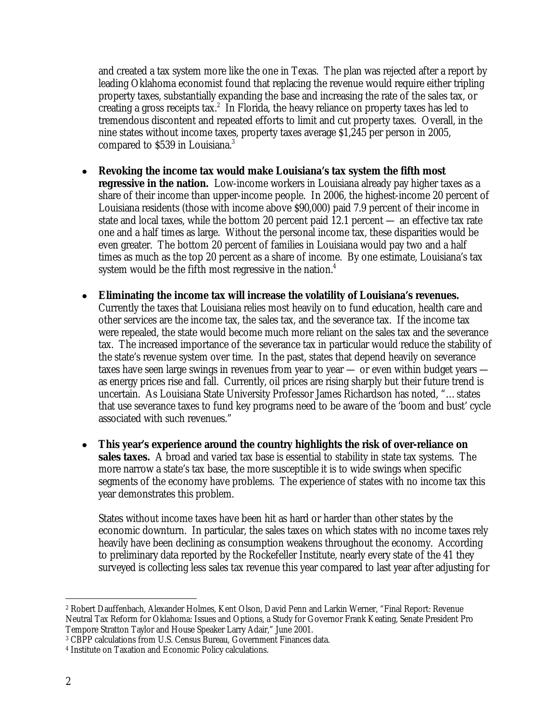and created a tax system more like the one in Texas. The plan was rejected after a report by leading Oklahoma economist found that replacing the revenue would require either tripling property taxes, substantially expanding the base and increasing the rate of the sales tax, or creating a gross receipts tax.<sup>2</sup> In Florida, the heavy reliance on property taxes has led to tremendous discontent and repeated efforts to limit and cut property taxes. Overall, in the nine states without income taxes, property taxes average \$1,245 per person in 2005, compared to \$539 in Louisiana.<sup>3</sup>

- **Revoking the income tax would make Louisiana's tax system the fifth most regressive in the nation.** Low-income workers in Louisiana already pay higher taxes as a share of their income than upper-income people. In 2006, the highest-income 20 percent of Louisiana residents (those with income above \$90,000) paid 7.9 percent of their income in state and local taxes, while the bottom 20 percent paid 12.1 percent — an effective tax rate one and a half times as large. Without the personal income tax, these disparities would be even greater. The bottom 20 percent of families in Louisiana would pay two and a half times as much as the top 20 percent as a share of income. By one estimate, Louisiana's tax system would be the fifth most regressive in the nation.<sup>4</sup>
- **Eliminating the income tax will increase the volatility of Louisiana's revenues.**  Currently the taxes that Louisiana relies most heavily on to fund education, health care and other services are the income tax, the sales tax, and the severance tax. If the income tax were repealed, the state would become much more reliant on the sales tax and the severance tax. The increased importance of the severance tax in particular would reduce the stability of the state's revenue system over time. In the past, states that depend heavily on severance taxes have seen large swings in revenues from year to year — or even within budget years as energy prices rise and fall. Currently, oil prices are rising sharply but their future trend is uncertain. As Louisiana State University Professor James Richardson has noted, "…states that use severance taxes to fund key programs need to be aware of the 'boom and bust' cycle associated with such revenues."
- **This year's experience around the country highlights the risk of over-reliance on sales taxes.** A broad and varied tax base is essential to stability in state tax systems. The more narrow a state's tax base, the more susceptible it is to wide swings when specific segments of the economy have problems. The experience of states with no income tax this year demonstrates this problem.

States without income taxes have been hit as hard or harder than other states by the economic downturn. In particular, the sales taxes on which states with no income taxes rely heavily have been declining as consumption weakens throughout the economy. According to preliminary data reported by the Rockefeller Institute, nearly every state of the 41 they surveyed is collecting less sales tax revenue this year compared to last year after adjusting for

<sup>-</sup>2 Robert Dauffenbach, Alexander Holmes, Kent Olson, David Penn and Larkin Werner, "Final Report: Revenue Neutral Tax Reform for Oklahoma: Issues and Options, a Study for Governor Frank Keating, Senate President Pro Tempore Stratton Taylor and House Speaker Larry Adair," June 2001.

<sup>3</sup> CBPP calculations from U.S. Census Bureau, Government Finances data.

<sup>4</sup> Institute on Taxation and Economic Policy calculations.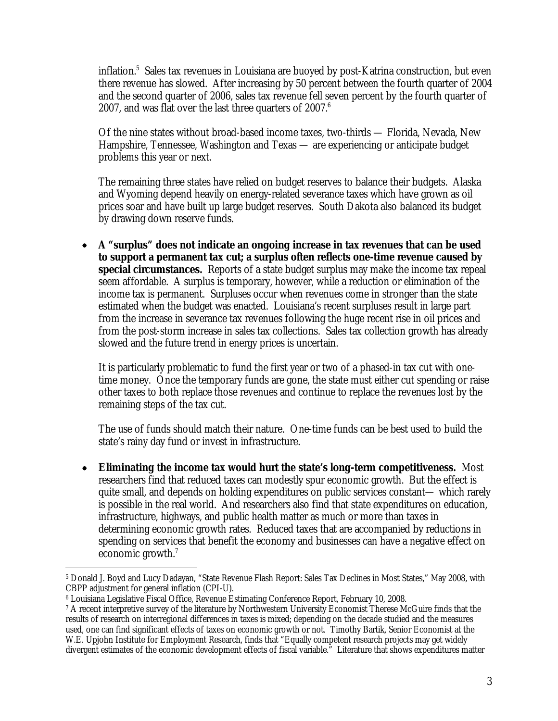inflation.5 Sales tax revenues in Louisiana are buoyed by post-Katrina construction, but even there revenue has slowed. After increasing by 50 percent between the fourth quarter of 2004 and the second quarter of 2006, sales tax revenue fell seven percent by the fourth quarter of 2007, and was flat over the last three quarters of 2007.<sup>6</sup>

Of the nine states without broad-based income taxes, two-thirds — Florida, Nevada, New Hampshire, Tennessee, Washington and Texas — are experiencing or anticipate budget problems this year or next.

The remaining three states have relied on budget reserves to balance their budgets. Alaska and Wyoming depend heavily on energy-related severance taxes which have grown as oil prices soar and have built up large budget reserves. South Dakota also balanced its budget by drawing down reserve funds.

• **A "surplus" does not indicate an ongoing increase in tax revenues that can be used to support a permanent tax cut; a surplus often reflects one-time revenue caused by special circumstances.** Reports of a state budget surplus may make the income tax repeal seem affordable. A surplus is temporary, however, while a reduction or elimination of the income tax is permanent. Surpluses occur when revenues come in stronger than the state estimated when the budget was enacted. Louisiana's recent surpluses result in large part from the increase in severance tax revenues following the huge recent rise in oil prices and from the post-storm increase in sales tax collections. Sales tax collection growth has already slowed and the future trend in energy prices is uncertain.

It is particularly problematic to fund the first year or two of a phased-in tax cut with onetime money. Once the temporary funds are gone, the state must either cut spending or raise other taxes to both replace those revenues and continue to replace the revenues lost by the remaining steps of the tax cut.

The use of funds should match their nature. One-time funds can be best used to build the state's rainy day fund or invest in infrastructure.

• **Eliminating the income tax would hurt the state's long-term competitiveness.** Most researchers find that reduced taxes can modestly spur economic growth. But the effect is quite small, and depends on holding expenditures on public services constant— which rarely is possible in the real world. And researchers also find that state expenditures on education, infrastructure, highways, and public health matter as much or more than taxes in determining economic growth rates. Reduced taxes that are accompanied by reductions in spending on services that benefit the economy and businesses can have a negative effect on economic growth.<sup>7</sup>

 $\overline{a}$ 5 Donald J. Boyd and Lucy Dadayan, "State Revenue Flash Report: Sales Tax Declines in Most States," May 2008, with CBPP adjustment for general inflation (CPI-U).

<sup>6</sup> Louisiana Legislative Fiscal Office, Revenue Estimating Conference Report, February 10, 2008.

<sup>&</sup>lt;sup>7</sup> A recent interpretive survey of the literature by Northwestern University Economist Therese McGuire finds that the results of research on interregional differences in taxes is mixed; depending on the decade studied and the measures used, one can find significant effects of taxes on economic growth or not. Timothy Bartik, Senior Economist at the W.E. Upjohn Institute for Employment Research, finds that "Equally competent research projects may get widely divergent estimates of the economic development effects of fiscal variable." Literature that shows expenditures matter